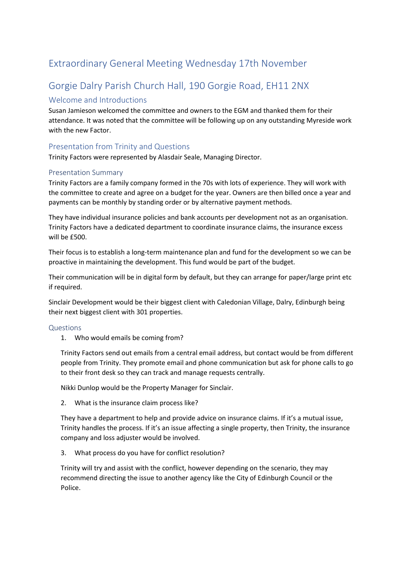## Extraordinary General Meeting Wednesday 17th November

# Gorgie Dalry Parish Church Hall, 190 Gorgie Road, EH11 2NX

## Welcome and Introductions

Susan Jamieson welcomed the committee and owners to the EGM and thanked them for their attendance. It was noted that the committee will be following up on any outstanding Myreside work with the new Factor.

## Presentation from Trinity and Questions

Trinity Factors were represented by Alasdair Seale, Managing Director.

### Presentation Summary

Trinity Factors are a family company formed in the 70s with lots of experience. They will work with the committee to create and agree on a budget for the year. Owners are then billed once a year and payments can be monthly by standing order or by alternative payment methods.

They have individual insurance policies and bank accounts per development not as an organisation. Trinity Factors have a dedicated department to coordinate insurance claims, the insurance excess will be £500.

Their focus is to establish a long-term maintenance plan and fund for the development so we can be proactive in maintaining the development. This fund would be part of the budget.

Their communication will be in digital form by default, but they can arrange for paper/large print etc if required.

Sinclair Development would be their biggest client with Caledonian Village, Dalry, Edinburgh being their next biggest client with 301 properties.

### Questions

1. Who would emails be coming from?

Trinity Factors send out emails from a central email address, but contact would be from different people from Trinity. They promote email and phone communication but ask for phone calls to go to their front desk so they can track and manage requests centrally.

Nikki Dunlop would be the Property Manager for Sinclair.

2. What is the insurance claim process like?

They have a department to help and provide advice on insurance claims. If it's a mutual issue, Trinity handles the process. If it's an issue affecting a single property, then Trinity, the insurance company and loss adjuster would be involved.

3. What process do you have for conflict resolution?

Trinity will try and assist with the conflict, however depending on the scenario, they may recommend directing the issue to another agency like the City of Edinburgh Council or the Police.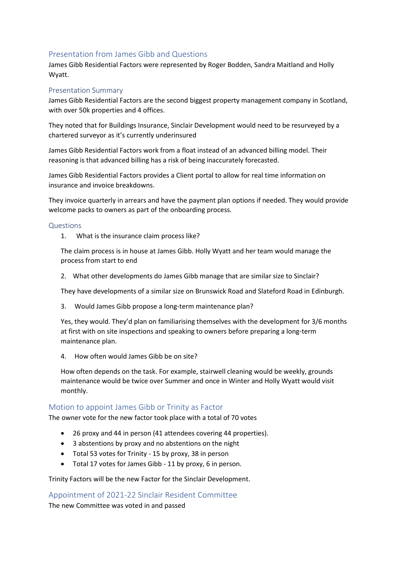### Presentation from James Gibb and Questions

James Gibb Residential Factors were represented by Roger Bodden, Sandra Maitland and Holly Wyatt.

#### Presentation Summary

James Gibb Residential Factors are the second biggest property management company in Scotland, with over 50k properties and 4 offices.

They noted that for Buildings Insurance, Sinclair Development would need to be resurveyed by a chartered surveyor as it's currently underinsured

James Gibb Residential Factors work from a float instead of an advanced billing model. Their reasoning is that advanced billing has a risk of being inaccurately forecasted.

James Gibb Residential Factors provides a Client portal to allow for real time information on insurance and invoice breakdowns.

They invoice quarterly in arrears and have the payment plan options if needed. They would provide welcome packs to owners as part of the onboarding process.

#### Questions

1. What is the insurance claim process like?

The claim process is in house at James Gibb. Holly Wyatt and her team would manage the process from start to end

2. What other developments do James Gibb manage that are similar size to Sinclair?

They have developments of a similar size on Brunswick Road and Slateford Road in Edinburgh.

3. Would James Gibb propose a long-term maintenance plan?

Yes, they would. They'd plan on familiarising themselves with the development for 3/6 months at first with on site inspections and speaking to owners before preparing a long-term maintenance plan.

4. How often would James Gibb be on site?

How often depends on the task. For example, stairwell cleaning would be weekly, grounds maintenance would be twice over Summer and once in Winter and Holly Wyatt would visit monthly.

### Motion to appoint James Gibb or Trinity as Factor

The owner vote for the new factor took place with a total of 70 votes

- 26 proxy and 44 in person (41 attendees covering 44 properties).
- 3 abstentions by proxy and no abstentions on the night
- Total 53 votes for Trinity 15 by proxy, 38 in person
- Total 17 votes for James Gibb 11 by proxy, 6 in person.

#### Trinity Factors will be the new Factor for the Sinclair Development.

Appointment of 2021-22 Sinclair Resident Committee The new Committee was voted in and passed